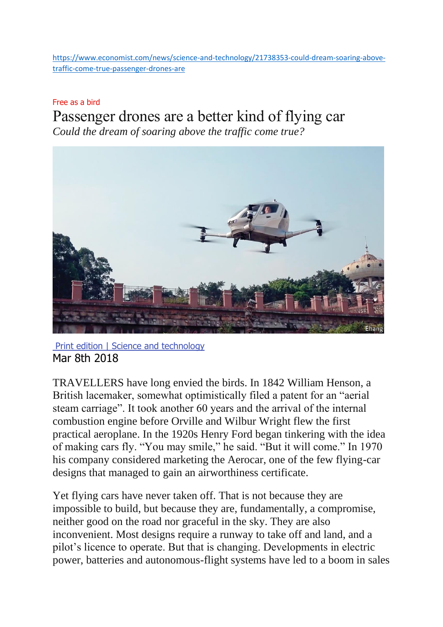[https://www.economist.com/news/science-and-technology/21738353-could-dream-soaring-above](https://www.economist.com/news/science-and-technology/21738353-could-dream-soaring-above-traffic-come-true-passenger-drones-are)[traffic-come-true-passenger-drones-are](https://www.economist.com/news/science-and-technology/21738353-could-dream-soaring-above-traffic-come-true-passenger-drones-are)

## Free as a bird Passenger drones are a better kind of flying car

*Could the dream of soaring above the traffic come true?*



Print edition [| Science and technology](https://www.economist.com/sections/science-technology) Mar 8th 2018

TRAVELLERS have long envied the birds. In 1842 William Henson, a British lacemaker, somewhat optimistically filed a patent for an "aerial steam carriage". It took another 60 years and the arrival of the internal combustion engine before Orville and Wilbur Wright flew the first practical aeroplane. In the 1920s Henry Ford began tinkering with the idea of making cars fly. "You may smile," he said. "But it will come." In 1970 his company considered marketing the Aerocar, one of the few flying-car designs that managed to gain an airworthiness certificate.

Yet flying cars have never taken off. That is not because they are impossible to build, but because they are, fundamentally, a compromise, neither good on the road nor graceful in the sky. They are also inconvenient. Most designs require a runway to take off and land, and a pilot's licence to operate. But that is changing. Developments in electric power, batteries and autonomous-flight systems have led to a boom in sales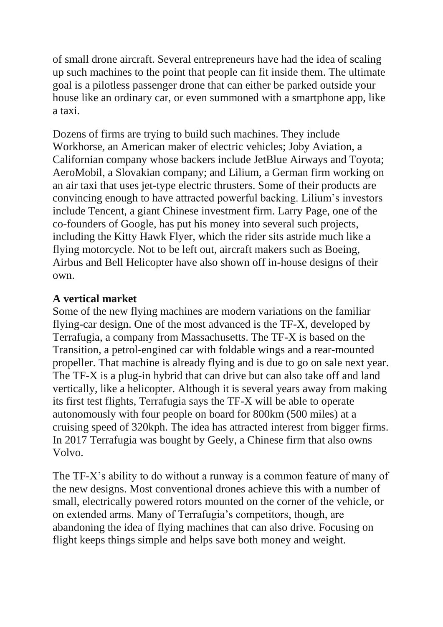of small drone aircraft. Several entrepreneurs have had the idea of scaling up such machines to the point that people can fit inside them. The ultimate goal is a pilotless passenger drone that can either be parked outside your house like an ordinary car, or even summoned with a smartphone app, like a taxi.

Dozens of firms are trying to build such machines. They include Workhorse, an American maker of electric vehicles; Joby Aviation, a Californian company whose backers include JetBlue Airways and Toyota; AeroMobil, a Slovakian company; and Lilium, a German firm working on an air taxi that uses jet-type electric thrusters. Some of their products are convincing enough to have attracted powerful backing. Lilium's investors include Tencent, a giant Chinese investment firm. Larry Page, one of the co-founders of Google, has put his money into several such projects, including the Kitty Hawk Flyer, which the rider sits astride much like a flying motorcycle. Not to be left out, aircraft makers such as Boeing, Airbus and Bell Helicopter have also shown off in-house designs of their own.

## **A vertical market**

Some of the new flying machines are modern variations on the familiar flying-car design. One of the most advanced is the TF-X, developed by Terrafugia, a company from Massachusetts. The TF-X is based on the Transition, a petrol-engined car with foldable wings and a rear-mounted propeller. That machine is already flying and is due to go on sale next year. The TF-X is a plug-in hybrid that can drive but can also take off and land vertically, like a helicopter. Although it is several years away from making its first test flights, Terrafugia says the TF-X will be able to operate autonomously with four people on board for 800km (500 miles) at a cruising speed of 320kph. The idea has attracted interest from bigger firms. In 2017 Terrafugia was bought by Geely, a Chinese firm that also owns Volvo.

The TF-X's ability to do without a runway is a common feature of many of the new designs. Most conventional drones achieve this with a number of small, electrically powered rotors mounted on the corner of the vehicle, or on extended arms. Many of Terrafugia's competitors, though, are abandoning the idea of flying machines that can also drive. Focusing on flight keeps things simple and helps save both money and weight.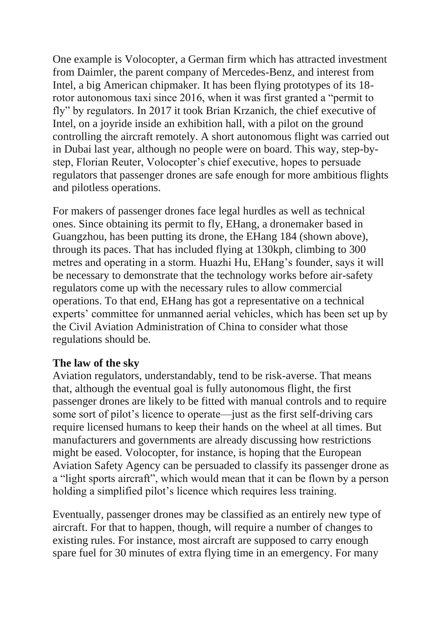One example is Volocopter, a German firm which has attracted investment from Daimler, the parent company of Mercedes-Benz, and interest from Intel, a big American chipmaker. It has been flying prototypes of its 18 rotor autonomous taxi since 2016, when it was first granted a "permit to fly" by regulators. In 2017 it took Brian Krzanich, the chief executive of Intel, on a joyride inside an exhibition hall, with a pilot on the ground controlling the aircraft remotely. A short autonomous flight was carried out in Dubai last year, although no people were on board. This way, step-bystep, Florian Reuter, Volocopter's chief executive, hopes to persuade regulators that passenger drones are safe enough for more ambitious flights and pilotless operations.

For makers of passenger drones face legal hurdles as well as technical ones. Since obtaining its permit to fly, EHang, a dronemaker based in Guangzhou, has been putting its drone, the EHang 184 (shown above), through its paces. That has included flying at 130kph, climbing to 300 metres and operating in a storm. Huazhi Hu, EHang's founder, says it will be necessary to demonstrate that the technology works before air-safety regulators come up with the necessary rules to allow commercial operations. To that end, EHang has got a representative on a technical experts' committee for unmanned aerial vehicles, which has been set up by the Civil Aviation Administration of China to consider what those regulations should be.

## **The law of the sky**

Aviation regulators, understandably, tend to be risk-averse. That means that, although the eventual goal is fully autonomous flight, the first passenger drones are likely to be fitted with manual controls and to require some sort of pilot's licence to operate—just as the first self-driving cars require licensed humans to keep their hands on the wheel at all times. But manufacturers and governments are already discussing how restrictions might be eased. Volocopter, for instance, is hoping that the European Aviation Safety Agency can be persuaded to classify its passenger drone as a "light sports aircraft", which would mean that it can be flown by a person holding a simplified pilot's licence which requires less training.

Eventually, passenger drones may be classified as an entirely new type of aircraft. For that to happen, though, will require a number of changes to existing rules. For instance, most aircraft are supposed to carry enough spare fuel for 30 minutes of extra flying time in an emergency. For many